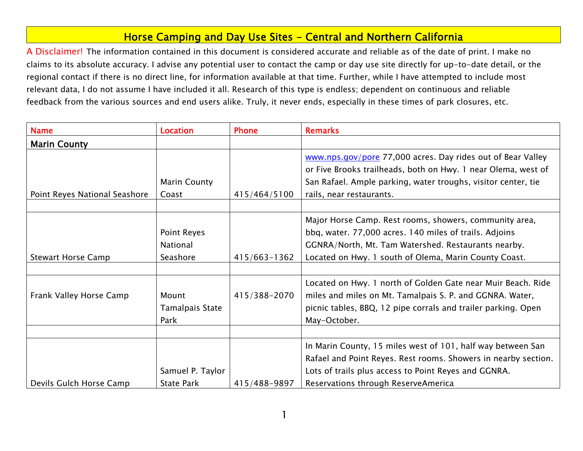## Horse Camping and Day Use Sites - Central and Northern California

A Disclaimer! The information contained in this document is considered accurate and reliable as of the date of print. I make no claims to its absolute accuracy. I advise any potential user to contact the camp or day use site directly for up-to-date detail, or the regional contact if there is no direct line, for information available at that time. Further, while I have attempted to include most relevant data, I do not assume I have included it all. Research of this type is endless; dependent on continuous and reliable feedback from the various sources and end users alike. Truly, it never ends, especially in these times of park closures, etc.

| <b>Name</b>                   | <b>Location</b>                            | <b>Phone</b> | <b>Remarks</b>                                                                                                                                                                                                                   |
|-------------------------------|--------------------------------------------|--------------|----------------------------------------------------------------------------------------------------------------------------------------------------------------------------------------------------------------------------------|
| <b>Marin County</b>           |                                            |              |                                                                                                                                                                                                                                  |
| Point Reyes National Seashore | <b>Marin County</b><br>Coast               | 415/464/5100 | www.nps.gov/pore 77,000 acres. Day rides out of Bear Valley<br>or Five Brooks trailheads, both on Hwy. 1 near Olema, west of<br>San Rafael. Ample parking, water troughs, visitor center, tie<br>rails, near restaurants.        |
| <b>Stewart Horse Camp</b>     | Point Reyes<br><b>National</b><br>Seashore | 415/663-1362 | Major Horse Camp. Rest rooms, showers, community area,<br>bbq, water. 77,000 acres. 140 miles of trails. Adjoins<br>GGNRA/North, Mt. Tam Watershed. Restaurants nearby.<br>Located on Hwy. 1 south of Olema, Marin County Coast. |
| Frank Valley Horse Camp       | Mount<br>Tamalpais State<br>Park           | 415/388-2070 | Located on Hwy. 1 north of Golden Gate near Muir Beach. Ride<br>miles and miles on Mt. Tamalpais S. P. and GGNRA. Water,<br>picnic tables, BBQ, 12 pipe corrals and trailer parking. Open<br>May-October.                        |
| Devils Gulch Horse Camp       | Samuel P. Taylor<br><b>State Park</b>      | 415/488-9897 | In Marin County, 15 miles west of 101, half way between San<br>Rafael and Point Reyes. Rest rooms. Showers in nearby section.<br>Lots of trails plus access to Point Reyes and GGNRA.<br>Reservations through ReserveAmerica     |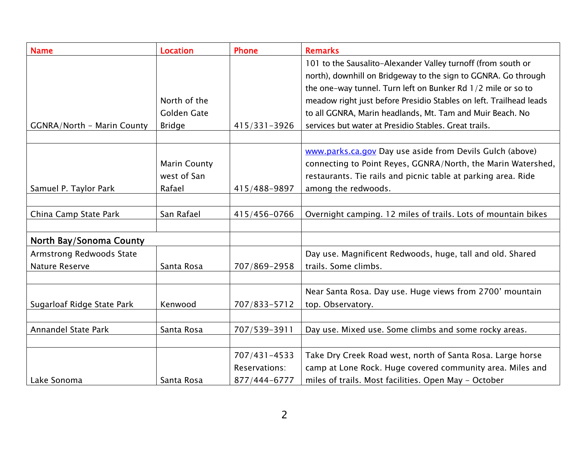| <b>Name</b>                       | <b>Location</b>     | <b>Phone</b>  | <b>Remarks</b>                                                     |
|-----------------------------------|---------------------|---------------|--------------------------------------------------------------------|
|                                   |                     |               | 101 to the Sausalito-Alexander Valley turnoff (from south or       |
|                                   |                     |               | north), downhill on Bridgeway to the sign to GGNRA. Go through     |
|                                   |                     |               | the one-way tunnel. Turn left on Bunker Rd 1/2 mile or so to       |
|                                   | North of the        |               | meadow right just before Presidio Stables on left. Trailhead leads |
|                                   | Golden Gate         |               | to all GGNRA, Marin headlands, Mt. Tam and Muir Beach. No          |
| <b>GGNRA/North - Marin County</b> | <b>Bridge</b>       | 415/331-3926  | services but water at Presidio Stables. Great trails.              |
|                                   |                     |               |                                                                    |
|                                   |                     |               | www.parks.ca.gov Day use aside from Devils Gulch (above)           |
|                                   | <b>Marin County</b> |               | connecting to Point Reyes, GGNRA/North, the Marin Watershed,       |
|                                   | west of San         |               | restaurants. Tie rails and picnic table at parking area. Ride      |
| Samuel P. Taylor Park             | Rafael              | 415/488-9897  | among the redwoods.                                                |
|                                   |                     |               |                                                                    |
| China Camp State Park             | San Rafael          | 415/456-0766  | Overnight camping. 12 miles of trails. Lots of mountain bikes      |
|                                   |                     |               |                                                                    |
| North Bay/Sonoma County           |                     |               |                                                                    |
| Armstrong Redwoods State          |                     |               | Day use. Magnificent Redwoods, huge, tall and old. Shared          |
| Nature Reserve                    | Santa Rosa          | 707/869-2958  | trails. Some climbs.                                               |
|                                   |                     |               |                                                                    |
|                                   |                     |               | Near Santa Rosa. Day use. Huge views from 2700' mountain           |
| Sugarloaf Ridge State Park        | Kenwood             | 707/833-5712  | top. Observatory.                                                  |
|                                   |                     |               |                                                                    |
| <b>Annandel State Park</b>        | Santa Rosa          | 707/539-3911  | Day use. Mixed use. Some climbs and some rocky areas.              |
|                                   |                     |               |                                                                    |
|                                   |                     | 707/431-4533  | Take Dry Creek Road west, north of Santa Rosa. Large horse         |
|                                   |                     | Reservations: | camp at Lone Rock. Huge covered community area. Miles and          |
| Lake Sonoma                       | Santa Rosa          | 877/444-6777  | miles of trails. Most facilities. Open May - October               |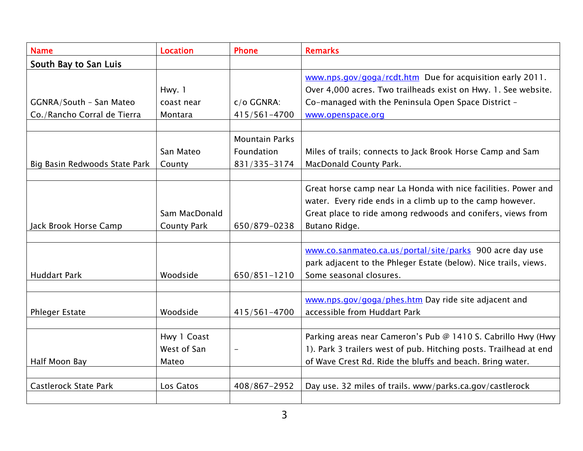| <b>Name</b>                   | <b>Location</b>    | <b>Phone</b>             | <b>Remarks</b>                                                    |
|-------------------------------|--------------------|--------------------------|-------------------------------------------------------------------|
| South Bay to San Luis         |                    |                          |                                                                   |
|                               |                    |                          | www.nps.gov/goga/rcdt.htm Due for acquisition early 2011.         |
|                               | Hwy. 1             |                          | Over 4,000 acres. Two trailheads exist on Hwy. 1. See website.    |
| GGNRA/South - San Mateo       | coast near         | $c/o$ GGNRA:             | Co-managed with the Peninsula Open Space District -               |
| Co./Rancho Corral de Tierra   | Montara            | 415/561-4700             | www.openspace.org                                                 |
|                               |                    |                          |                                                                   |
|                               |                    | <b>Mountain Parks</b>    |                                                                   |
|                               | San Mateo          | Foundation               | Miles of trails; connects to Jack Brook Horse Camp and Sam        |
| Big Basin Redwoods State Park | County             | 831/335-3174             | MacDonald County Park.                                            |
|                               |                    |                          |                                                                   |
|                               |                    |                          | Great horse camp near La Honda with nice facilities. Power and    |
|                               |                    |                          | water. Every ride ends in a climb up to the camp however.         |
|                               | Sam MacDonald      |                          | Great place to ride among redwoods and conifers, views from       |
| Jack Brook Horse Camp         | <b>County Park</b> | 650/879-0238             | Butano Ridge.                                                     |
|                               |                    |                          |                                                                   |
|                               |                    |                          | www.co.sanmateo.ca.us/portal/site/parks 900 acre day use          |
|                               |                    |                          | park adjacent to the Phleger Estate (below). Nice trails, views.  |
| <b>Huddart Park</b>           | Woodside           | 650/851-1210             | Some seasonal closures.                                           |
|                               |                    |                          |                                                                   |
|                               |                    |                          | www.nps.gov/goga/phes.htm Day ride site adjacent and              |
| <b>Phleger Estate</b>         | Woodside           | 415/561-4700             | accessible from Huddart Park                                      |
|                               |                    |                          |                                                                   |
|                               | Hwy 1 Coast        |                          | Parking areas near Cameron's Pub @ 1410 S. Cabrillo Hwy (Hwy      |
|                               | West of San        | $\overline{\phantom{m}}$ | 1). Park 3 trailers west of pub. Hitching posts. Trailhead at end |
| Half Moon Bay                 | Mateo              |                          | of Wave Crest Rd. Ride the bluffs and beach. Bring water.         |
|                               |                    |                          |                                                                   |
| Castlerock State Park         | Los Gatos          | 408/867-2952             | Day use. 32 miles of trails. www/parks.ca.gov/castlerock          |
|                               |                    |                          |                                                                   |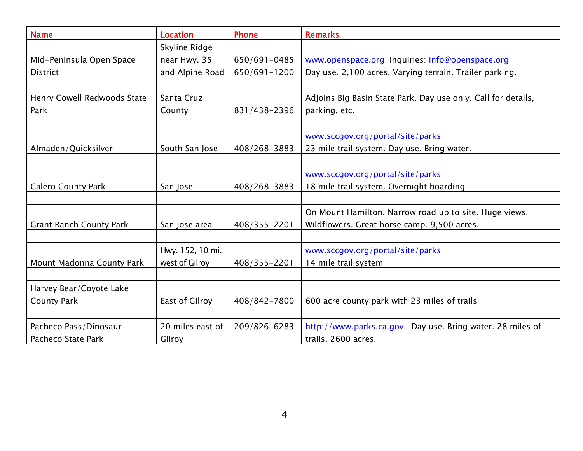| <b>Name</b>                    | <b>Location</b>  | <b>Phone</b>     | <b>Remarks</b>                                                |
|--------------------------------|------------------|------------------|---------------------------------------------------------------|
|                                | Skyline Ridge    |                  |                                                               |
| Mid-Peninsula Open Space       | near Hwy. 35     | 650/691-0485     | www.openspace.org Inquiries: info@openspace.org               |
| <b>District</b>                | and Alpine Road  | $650/691 - 1200$ | Day use. 2,100 acres. Varying terrain. Trailer parking.       |
|                                |                  |                  |                                                               |
| Henry Cowell Redwoods State    | Santa Cruz       |                  | Adjoins Big Basin State Park. Day use only. Call for details, |
| Park                           | County           | 831/438-2396     | parking, etc.                                                 |
|                                |                  |                  |                                                               |
|                                |                  |                  | www.sccgov.org/portal/site/parks                              |
| Almaden/Quicksilver            | South San Jose   | 408/268-3883     | 23 mile trail system. Day use. Bring water.                   |
|                                |                  |                  |                                                               |
|                                |                  |                  | www.sccgov.org/portal/site/parks                              |
| <b>Calero County Park</b>      | San Jose         | 408/268-3883     | 18 mile trail system. Overnight boarding                      |
|                                |                  |                  |                                                               |
|                                |                  |                  | On Mount Hamilton. Narrow road up to site. Huge views.        |
| <b>Grant Ranch County Park</b> | San Jose area    | 408/355-2201     | Wildflowers. Great horse camp. 9,500 acres.                   |
|                                |                  |                  |                                                               |
|                                | Hwy. 152, 10 mi. |                  | www.sccgov.org/portal/site/parks                              |
| Mount Madonna County Park      | west of Gilroy   | 408/355-2201     | 14 mile trail system                                          |
|                                |                  |                  |                                                               |
| Harvey Bear/Coyote Lake        |                  |                  |                                                               |
| <b>County Park</b>             | East of Gilroy   | 408/842-7800     | 600 acre county park with 23 miles of trails                  |
|                                |                  |                  |                                                               |
| Pacheco Pass/Dinosaur -        | 20 miles east of | 209/826-6283     | http://www.parks.ca.gov Day use. Bring water. 28 miles of     |
| Pacheco State Park             | Gilroy           |                  | trails. 2600 acres.                                           |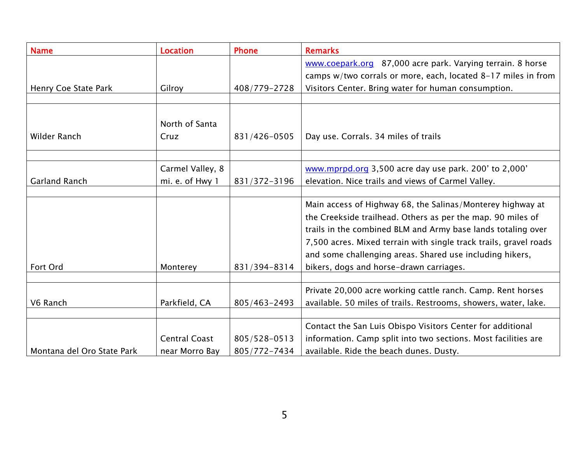| <b>Name</b>                | <b>Location</b>      | <b>Phone</b> | <b>Remarks</b>                                                    |
|----------------------------|----------------------|--------------|-------------------------------------------------------------------|
|                            |                      |              | www.coepark.org 87,000 acre park. Varying terrain. 8 horse        |
|                            |                      |              | camps w/two corrals or more, each, located 8-17 miles in from     |
| Henry Coe State Park       | Gilroy               | 408/779-2728 | Visitors Center. Bring water for human consumption.               |
|                            |                      |              |                                                                   |
|                            |                      |              |                                                                   |
|                            | North of Santa       |              |                                                                   |
| Wilder Ranch               | Cruz                 | 831/426-0505 | Day use. Corrals. 34 miles of trails                              |
|                            |                      |              |                                                                   |
|                            | Carmel Valley, 8     |              | www.mprpd.org 3,500 acre day use park. 200' to 2,000'             |
| Garland Ranch              | mi. e. of Hwy 1      | 831/372-3196 | elevation. Nice trails and views of Carmel Valley.                |
|                            |                      |              |                                                                   |
|                            |                      |              | Main access of Highway 68, the Salinas/Monterey highway at        |
|                            |                      |              | the Creekside trailhead. Others as per the map. 90 miles of       |
|                            |                      |              | trails in the combined BLM and Army base lands totaling over      |
|                            |                      |              | 7,500 acres. Mixed terrain with single track trails, gravel roads |
|                            |                      |              | and some challenging areas. Shared use including hikers,          |
| Fort Ord                   | Monterey             | 831/394-8314 | bikers, dogs and horse-drawn carriages.                           |
|                            |                      |              |                                                                   |
|                            |                      |              | Private 20,000 acre working cattle ranch. Camp. Rent horses       |
| V6 Ranch                   | Parkfield, CA        | 805/463-2493 | available. 50 miles of trails. Restrooms, showers, water, lake.   |
|                            |                      |              |                                                                   |
|                            |                      |              | Contact the San Luis Obispo Visitors Center for additional        |
|                            | <b>Central Coast</b> | 805/528-0513 | information. Camp split into two sections. Most facilities are    |
| Montana del Oro State Park | near Morro Bay       | 805/772-7434 | available. Ride the beach dunes. Dusty.                           |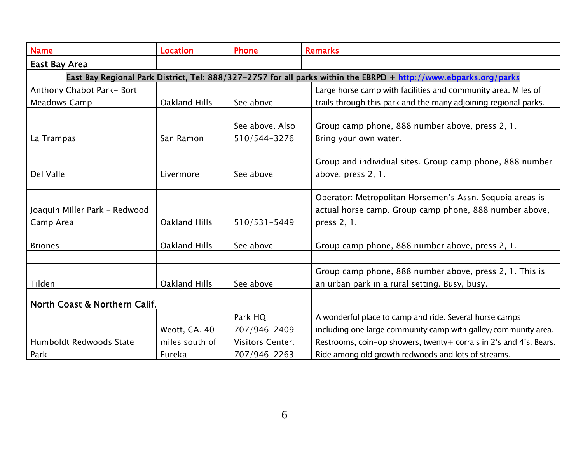| <b>Name</b>                    | <b>Location</b> | <b>Phone</b>            | <b>Remarks</b>                                                                                                   |
|--------------------------------|-----------------|-------------------------|------------------------------------------------------------------------------------------------------------------|
| East Bay Area                  |                 |                         |                                                                                                                  |
|                                |                 |                         | East Bay Regional Park District, Tel: 888/327-2757 for all parks within the EBRPD + http://www.ebparks.org/parks |
| Anthony Chabot Park-Bort       |                 |                         | Large horse camp with facilities and community area. Miles of                                                    |
| <b>Meadows Camp</b>            | Oakland Hills   | See above               | trails through this park and the many adjoining regional parks.                                                  |
|                                |                 |                         |                                                                                                                  |
|                                |                 | See above, Also         | Group camp phone, 888 number above, press 2, 1.                                                                  |
| La Trampas                     | San Ramon       | 510/544-3276            | Bring your own water.                                                                                            |
|                                |                 |                         |                                                                                                                  |
|                                |                 |                         | Group and individual sites. Group camp phone, 888 number                                                         |
| Del Valle                      | Livermore       | See above               | above, press 2, 1.                                                                                               |
|                                |                 |                         |                                                                                                                  |
|                                |                 |                         | Operator: Metropolitan Horsemen's Assn. Sequoia areas is                                                         |
| Joaquin Miller Park - Redwood  |                 |                         | actual horse camp. Group camp phone, 888 number above,                                                           |
| Camp Area                      | Oakland Hills   | $510/531 - 5449$        | press 2, 1.                                                                                                      |
|                                |                 |                         |                                                                                                                  |
| <b>Briones</b>                 | Oakland Hills   | See above               | Group camp phone, 888 number above, press 2, 1.                                                                  |
|                                |                 |                         |                                                                                                                  |
|                                |                 |                         | Group camp phone, 888 number above, press 2, 1. This is                                                          |
| Tilden                         | Oakland Hills   | See above               | an urban park in a rural setting. Busy, busy.                                                                    |
| North Coast & Northern Calif.  |                 |                         |                                                                                                                  |
|                                |                 | Park HQ:                | A wonderful place to camp and ride. Several horse camps                                                          |
|                                | Weott, CA. 40   | 707/946-2409            | including one large community camp with galley/community area.                                                   |
| <b>Humboldt Redwoods State</b> | miles south of  | <b>Visitors Center:</b> | Restrooms, coin-op showers, twenty+ corrals in 2's and 4's. Bears.                                               |
| Park                           | Eureka          | 707/946-2263            | Ride among old growth redwoods and lots of streams.                                                              |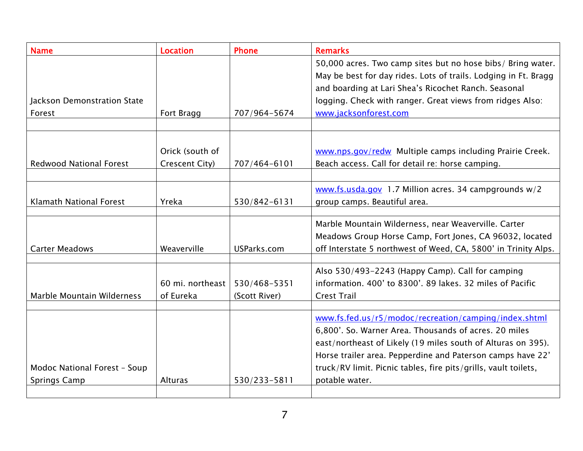| <b>Name</b>                                         | <b>Location</b>               | <b>Phone</b>                  | <b>Remarks</b>                                                                                                                                                                                                                                                                                                                    |
|-----------------------------------------------------|-------------------------------|-------------------------------|-----------------------------------------------------------------------------------------------------------------------------------------------------------------------------------------------------------------------------------------------------------------------------------------------------------------------------------|
| Jackson Demonstration State                         |                               |                               | 50,000 acres. Two camp sites but no hose bibs/ Bring water.<br>May be best for day rides. Lots of trails. Lodging in Ft. Bragg<br>and boarding at Lari Shea's Ricochet Ranch. Seasonal<br>logging. Check with ranger. Great views from ridges Also:                                                                               |
| Forest                                              | Fort Bragg                    | 707/964-5674                  | www.jacksonforest.com                                                                                                                                                                                                                                                                                                             |
|                                                     |                               |                               |                                                                                                                                                                                                                                                                                                                                   |
|                                                     |                               |                               |                                                                                                                                                                                                                                                                                                                                   |
|                                                     | Orick (south of               |                               | www.nps.gov/redw Multiple camps including Prairie Creek.                                                                                                                                                                                                                                                                          |
| <b>Redwood National Forest</b>                      | Crescent City)                | 707/464-6101                  | Beach access. Call for detail re: horse camping.                                                                                                                                                                                                                                                                                  |
|                                                     |                               |                               |                                                                                                                                                                                                                                                                                                                                   |
|                                                     |                               |                               | $www.fs.usda.gov$ 1.7 Million acres. 34 campgrounds $w/2$                                                                                                                                                                                                                                                                         |
| Klamath National Forest                             | Yreka                         | 530/842-6131                  | group camps. Beautiful area.                                                                                                                                                                                                                                                                                                      |
| <b>Carter Meadows</b>                               | Weaverville                   | USParks.com                   | Marble Mountain Wilderness, near Weaverville. Carter<br>Meadows Group Horse Camp, Fort Jones, CA 96032, located<br>off Interstate 5 northwest of Weed, CA, 5800' in Trinity Alps.                                                                                                                                                 |
|                                                     |                               |                               |                                                                                                                                                                                                                                                                                                                                   |
| Marble Mountain Wilderness                          | 60 mi. northeast<br>of Eureka | 530/468-5351<br>(Scott River) | Also 530/493-2243 (Happy Camp). Call for camping<br>information, 400' to 8300', 89 lakes, 32 miles of Pacific<br><b>Crest Trail</b>                                                                                                                                                                                               |
|                                                     |                               |                               |                                                                                                                                                                                                                                                                                                                                   |
| Modoc National Forest - Soup<br><b>Springs Camp</b> | Alturas                       | 530/233-5811                  | www.fs.fed.us/r5/modoc/recreation/camping/index.shtml<br>6,800'. So. Warner Area. Thousands of acres. 20 miles<br>east/northeast of Likely (19 miles south of Alturas on 395).<br>Horse trailer area. Pepperdine and Paterson camps have 22'<br>truck/RV limit. Picnic tables, fire pits/grills, vault toilets,<br>potable water. |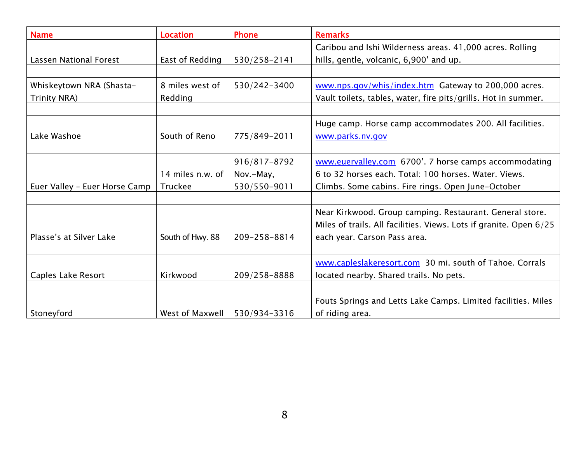| <b>Name</b>                   | <b>Location</b>  | <b>Phone</b> | <b>Remarks</b>                                                     |
|-------------------------------|------------------|--------------|--------------------------------------------------------------------|
|                               |                  |              | Caribou and Ishi Wilderness areas. 41,000 acres. Rolling           |
| <b>Lassen National Forest</b> | East of Redding  | 530/258-2141 | hills, gentle, volcanic, 6,900' and up.                            |
|                               |                  |              |                                                                    |
| Whiskeytown NRA (Shasta-      | 8 miles west of  | 530/242-3400 | www.nps.gov/whis/index.htm Gateway to 200,000 acres.               |
| <b>Trinity NRA)</b>           | Redding          |              | Vault toilets, tables, water, fire pits/grills. Hot in summer.     |
|                               |                  |              |                                                                    |
|                               |                  |              | Huge camp. Horse camp accommodates 200. All facilities.            |
| Lake Washoe                   | South of Reno    | 775/849-2011 | www.parks.nv.gov                                                   |
|                               |                  |              |                                                                    |
|                               |                  | 916/817-8792 | www.euervalley.com 6700'. 7 horse camps accommodating              |
|                               | 14 miles n.w. of | Nov.-May,    | 6 to 32 horses each. Total: 100 horses, Water, Views.              |
| Euer Valley - Euer Horse Camp | Truckee          | 530/550-9011 | Climbs. Some cabins. Fire rings. Open June-October                 |
|                               |                  |              |                                                                    |
|                               |                  |              | Near Kirkwood. Group camping. Restaurant. General store.           |
|                               |                  |              | Miles of trails. All facilities. Views. Lots if granite. Open 6/25 |
| Plasse's at Silver Lake       | South of Hwy. 88 | 209-258-8814 | each year. Carson Pass area.                                       |
|                               |                  |              |                                                                    |
|                               |                  |              | www.capleslakeresort.com 30 mi. south of Tahoe. Corrals            |
| Caples Lake Resort            | Kirkwood         | 209/258-8888 | located nearby. Shared trails. No pets.                            |
|                               |                  |              |                                                                    |
|                               |                  |              | Fouts Springs and Letts Lake Camps. Limited facilities. Miles      |
| Stoneyford                    | West of Maxwell  | 530/934-3316 | of riding area.                                                    |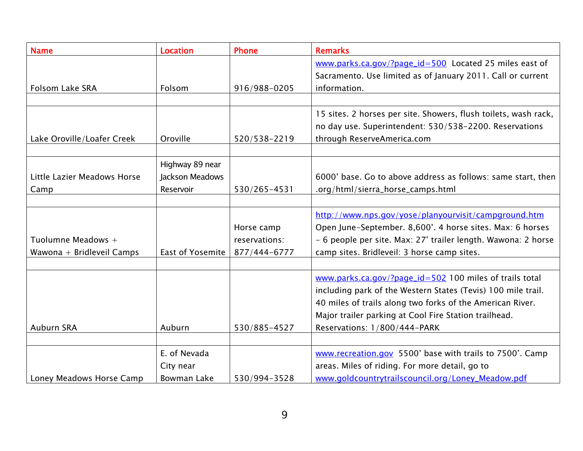| <b>Name</b>                                     | <b>Location</b>                                 | <b>Phone</b>                                | <b>Remarks</b>                                                                                                                                                                                                                                                                |
|-------------------------------------------------|-------------------------------------------------|---------------------------------------------|-------------------------------------------------------------------------------------------------------------------------------------------------------------------------------------------------------------------------------------------------------------------------------|
|                                                 |                                                 |                                             | www.parks.ca.gov/?page_id=500 Located 25 miles east of<br>Sacramento. Use limited as of January 2011. Call or current                                                                                                                                                         |
| Folsom Lake SRA                                 | Folsom                                          | 916/988-0205                                | information.                                                                                                                                                                                                                                                                  |
| Lake Oroville/Loafer Creek                      | Oroville                                        | 520/538-2219                                | 15 sites. 2 horses per site. Showers, flush toilets, wash rack,<br>no day use. Superintendent: 530/538-2200. Reservations<br>through ReserveAmerica.com                                                                                                                       |
| Little Lazier Meadows Horse<br>Camp             | Highway 89 near<br>Jackson Meadows<br>Reservoir | 530/265-4531                                | 6000' base. Go to above address as follows: same start, then<br>.org/html/sierra_horse_camps.html                                                                                                                                                                             |
| Tuolumne Meadows +<br>Wawona + Bridleveil Camps | East of Yosemite                                | Horse camp<br>reservations:<br>877/444-6777 | http://www.nps.gov/yose/planyourvisit/campground.htm<br>Open June-September. 8,600'. 4 horse sites. Max: 6 horses<br>- 6 people per site. Max: 27' trailer length. Wawona: 2 horse<br>camp sites. Bridleveil: 3 horse camp sites.                                             |
| <b>Auburn SRA</b>                               | Auburn                                          | 530/885-4527                                | www.parks.ca.gov/?page_id=502 100 miles of trails total<br>including park of the Western States (Tevis) 100 mile trail.<br>40 miles of trails along two forks of the American River.<br>Major trailer parking at Cool Fire Station trailhead.<br>Reservations: 1/800/444-PARK |
| Loney Meadows Horse Camp                        | E. of Nevada<br>City near<br>Bowman Lake        | 530/994-3528                                | www.recreation.gov 5500' base with trails to 7500'. Camp<br>areas. Miles of riding. For more detail, go to<br>www.goldcountrytrailscouncil.org/Loney_Meadow.pdf                                                                                                               |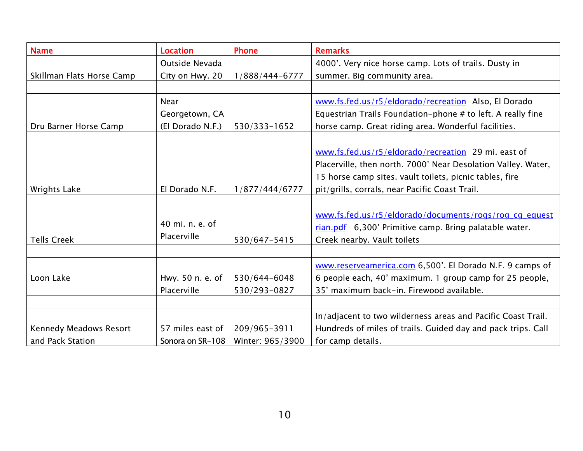| <b>Name</b>               | <b>Location</b>  | <b>Phone</b>     | <b>Remarks</b>                                                |
|---------------------------|------------------|------------------|---------------------------------------------------------------|
|                           | Outside Nevada   |                  | 4000'. Very nice horse camp. Lots of trails. Dusty in         |
| Skillman Flats Horse Camp | City on Hwy. 20  | 1/888/444-6777   | summer. Big community area.                                   |
|                           |                  |                  |                                                               |
|                           | <b>Near</b>      |                  | www.fs.fed.us/r5/eldorado/recreation Also, El Dorado          |
|                           | Georgetown, CA   |                  | Equestrian Trails Foundation-phone # to left. A really fine   |
| Dru Barner Horse Camp     | (El Dorado N.F.) | 530/333-1652     | horse camp. Great riding area. Wonderful facilities.          |
|                           |                  |                  |                                                               |
|                           |                  |                  | www.fs.fed.us/r5/eldorado/recreation 29 mi. east of           |
|                           |                  |                  | Placerville, then north. 7000' Near Desolation Valley. Water, |
|                           |                  |                  | 15 horse camp sites. vault toilets, picnic tables, fire       |
| <b>Wrights Lake</b>       | El Dorado N.F.   | 1/877/444/6777   | pit/grills, corrals, near Pacific Coast Trail.                |
|                           |                  |                  |                                                               |
|                           |                  |                  | www.fs.fed.us/r5/eldorado/documents/rogs/rog_cq_equest        |
|                           | 40 mi. n. e. of  |                  | rian.pdf 6,300' Primitive camp. Bring palatable water.        |
| <b>Tells Creek</b>        | Placerville      | 530/647-5415     | Creek nearby. Vault toilets                                   |
|                           |                  |                  |                                                               |
|                           |                  |                  | www.reserveamerica.com 6,500'. El Dorado N.F. 9 camps of      |
| Loon Lake                 | Hwy. 50 n. e. of | 530/644-6048     | 6 people each, 40' maximum. 1 group camp for 25 people,       |
|                           | Placerville      | 530/293-0827     | 35' maximum back-in. Firewood available.                      |
|                           |                  |                  |                                                               |
|                           |                  |                  | In/adjacent to two wilderness areas and Pacific Coast Trail.  |
| Kennedy Meadows Resort    | 57 miles east of | 209/965-3911     | Hundreds of miles of trails. Guided day and pack trips. Call  |
| and Pack Station          | Sonora on SR-108 | Winter: 965/3900 | for camp details.                                             |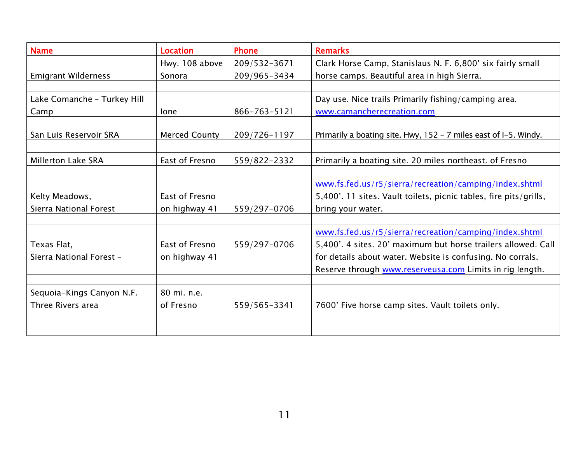| <b>Name</b>                                    | <b>Location</b>      | <b>Phone</b> | <b>Remarks</b>                                                    |
|------------------------------------------------|----------------------|--------------|-------------------------------------------------------------------|
|                                                | Hwy. 108 above       | 209/532-3671 | Clark Horse Camp, Stanislaus N. F. 6,800' six fairly small        |
| <b>Emigrant Wilderness</b>                     | Sonora               | 209/965-3434 | horse camps. Beautiful area in high Sierra.                       |
|                                                |                      |              |                                                                   |
| Lake Comanche - Turkey Hill                    |                      |              | Day use. Nice trails Primarily fishing/camping area.              |
| Camp                                           | lone                 | 866-763-5121 | www.camancherecreation.com                                        |
|                                                |                      |              |                                                                   |
| San Luis Reservoir SRA                         | <b>Merced County</b> | 209/726-1197 | Primarily a boating site. Hwy, 152 - 7 miles east of I-5. Windy.  |
|                                                |                      |              |                                                                   |
| <b>Millerton Lake SRA</b>                      | East of Fresno       | 559/822-2332 | Primarily a boating site. 20 miles northeast. of Fresno           |
|                                                |                      |              |                                                                   |
|                                                |                      |              | www.fs.fed.us/r5/sierra/recreation/camping/index.shtml            |
| Kelty Meadows,                                 | East of Fresno       |              | 5,400'. 11 sites. Vault toilets, picnic tables, fire pits/grills, |
| Sierra National Forest                         | on highway 41        | 559/297-0706 | bring your water.                                                 |
|                                                |                      |              |                                                                   |
|                                                |                      |              | www.fs.fed.us/r5/sierra/recreation/camping/index.shtml            |
| Texas Flat,                                    | East of Fresno       | 559/297-0706 | 5,400'. 4 sites. 20' maximum but horse trailers allowed. Call     |
| Sierra National Forest -                       | on highway 41        |              | for details about water. Website is confusing. No corrals.        |
|                                                |                      |              | Reserve through www.reserveusa.com Limits in rig length.          |
|                                                | 80 mi. n.e.          |              |                                                                   |
| Sequoia-Kings Canyon N.F.<br>Three Rivers area | of Fresno            |              |                                                                   |
|                                                |                      | 559/565-3341 | 7600' Five horse camp sites. Vault toilets only.                  |
|                                                |                      |              |                                                                   |
|                                                |                      |              |                                                                   |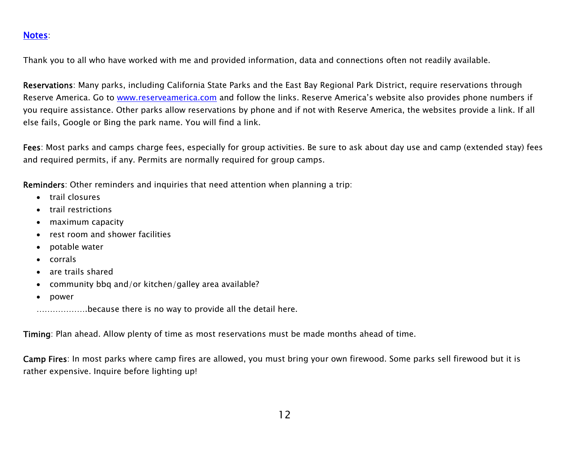## Notes:

Thank you to all who have worked with me and provided information, data and connections often not readily available.

Reservations: Many parks, including California State Parks and the East Bay Regional Park District, require reservations through Reserve America. Go to www.reserveamerica.com and follow the links. Reserve America's website also provides phone numbers if you require assistance. Other parks allow reservations by phone and if not with Reserve America, the websites provide a link. If all else fails, Google or Bing the park name. You will find a link.

Fees: Most parks and camps charge fees, especially for group activities. Be sure to ask about day use and camp (extended stay) fees and required permits, if any. Permits are normally required for group camps.

Reminders: Other reminders and inquiries that need attention when planning a trip:

- trail closures
- e trail restrictions
- maximum capacity
- $\bullet$ rest room and shower facilities
- 6 potable water
- 6 corrals
- 6 are trails shared
- $\bullet$ community bbq and/or kitchen/galley area available?
- $\bullet$ power

……………….because there is no way to provide all the detail here.

Timing: Plan ahead. Allow plenty of time as most reservations must be made months ahead of time.

Camp Fires: In most parks where camp fires are allowed, you must bring your own firewood. Some parks sell firewood but it is rather expensive. Inquire before lighting up!